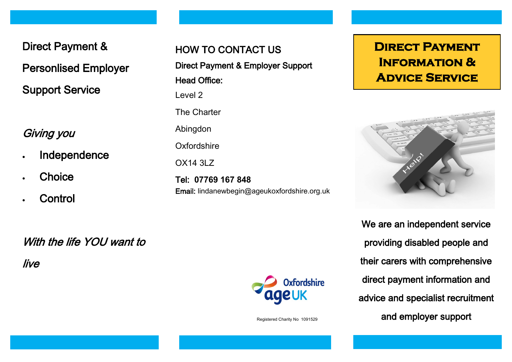Direct Payment &

Personlised Employer

Support Service

## Giving you

- Independence
- **Choice**
- **Control**

HOW TO CONTACT US Direct Payment & Employer Support Head Office: Level 2 The Charter Abingdon **Oxfordshire** OX14 3LZ Tel: **07769 167 848** Email: lindanewbegin@ageukoxfordshire.org.uk

# **DIRECT PAYMENT Information & Advice Service**



We are an independent service providing disabled people and their carers with comprehensive direct payment information and advice and specialist recruitment and employer support

With the life YOU want to

live



Registered Charity No 1091529